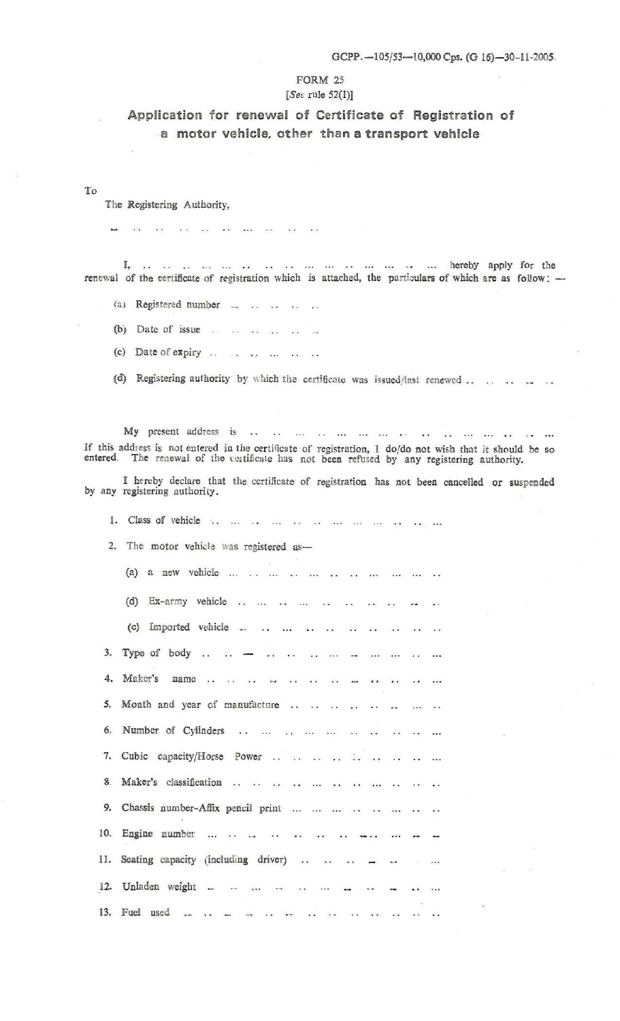### FORM 25

## [See rule 52(1)]

# Application for renewal of Certificate of Registration of a motor vehicle, other than a transport **vehicle**

To

The Registering Authority.

.<br>وي الأمام المدينة الأمام المدينة المدينة المدينة المدينة المدينة المدينة المدينة المدينة المدينة ال

I, . . . . . . . . hereby apply for the renewal of the certificate of registration which is attached, the particulars of which are as follow: -

(a) Registered number ... .. .. .. ..

(b) Date of issue

(c) Date of expiry

(d) Registering authority by which the certificate was issued/last renewed .. . . .

**My** present address is  $\sim$  $\cdots$  $\label{eq:12} \mathcal{L}(\mathbf{x}) = \mathcal{L}(\mathbf{x}) \mathcal{L}(\mathbf{x}) = \mathcal{L}(\mathbf{x}) \mathcal{L}(\mathbf{x}) = \mathcal{L}(\mathbf{x}) \mathcal{L}(\mathbf{x})$  $\ddot{\phantom{0}}$  $\mathcal{L}(\mathcal{L}(\mathcal{L})) = \mathcal{L}(\mathcal{L}(\mathcal{L}))$  $\cdot$   $\cdot$ If this address is not entered in the certificate of registration, I do/do not wish that it should be so entered. The renewal of the certificate has not been refused by any registering authority.

I hereby declare that the certificate of registration has not been cancelled or suspended by any registering authority.

I. Class of vehicle .. 2. The motor vehicle was registered as-(a) a new vehicle ...  $\ddot{\phantom{0}}$ (d) Ex-army vehicle .. ... .. ... ...  $\sim$ (c) Imported vehicle  $\ddot{\phantom{a}}$  $\sim$ ng e  $-25\%$  $\sim$  $\ddot{\phantom{0}}$  $-22$ 3. Type of body  $\cdot$   $\cdots$  $\sim$  $\cdots$  $\sim$  $\overline{a}$  $\cdots$  $\cdots$  $\mathcal{L}^{\mathcal{L}}$  and  $\cdots$ 4. Maker's name .. .. .. .. .. ..  $\ddot{\phantom{1}}$  $\ddot{\phantom{a}}$  $...$ 5. Month and year of manufacture .....  $\sim$   $\sim$  $\ddot{\phantom{1}}$  $\omega_{\rm{in}}$  $\cdots$  $\sim$   $\sim$ 6. Number of Cylinders  $\cdots$  $m \geq 0$  $\ddotsc$  $-$ 7. Cubic capacity /Horse Power  $\dddot{\bullet}$  $\bullet$   $\bullet$   $\bullet$   $\bullet$   $\bullet$ 8. Maker's classification ... .. .. ... ... ... ... ... ...  $\ddot{\phantom{1}}$ 9. Chassis number-Affix pencil print ... ... ... ..  $\mathcal{L}$  $7.84$ 10. Engine number  $\cdots$  $\frac{1}{2}$  $\dddot{\bullet}$  $\cdots$ 11. Seating capacity (including driver)  $\bullet$  $\ddot{\phantom{a}}$ 12. Unladen weight ... ... ...  $\ddot{\phantom{a}}$ 13. Fuel used  $\cdot$  $\sim$  $\mathcal{L}$